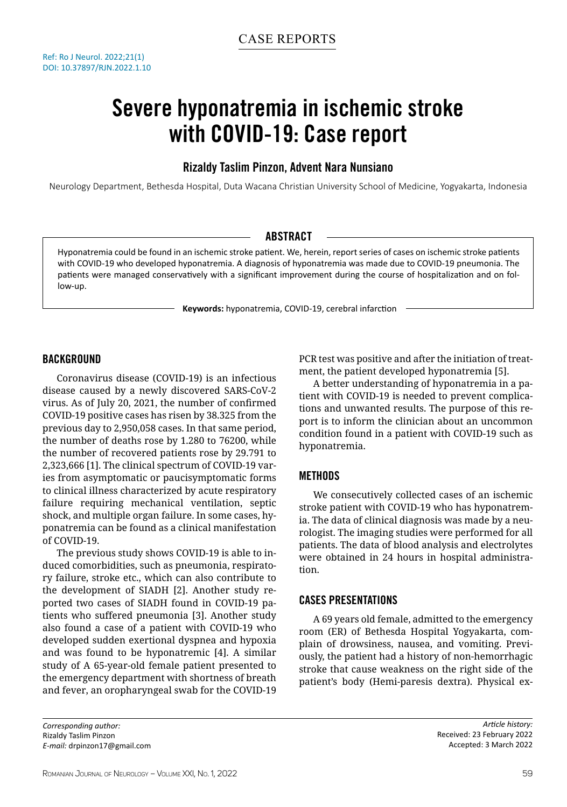Ref: Ro J Neurol. 2022;21(1) DOI: 10.37897/RJN.2022.1.10

# Severe hyponatremia in ischemic stroke with COVID-19: Case report

## Rizaldy Taslim Pinzon, Advent Nara Nunsiano

Neurology Department, Bethesda Hospital, Duta Wacana Christian University School of Medicine, Yogyakarta, Indonesia

### **ABSTRACT**

Hyponatremia could be found in an ischemic stroke patient. We, herein, report series of cases on ischemic stroke patients with COVID-19 who developed hyponatremia. A diagnosis of hyponatremia was made due to COVID-19 pneumonia. The patients were managed conservatively with a significant improvement during the course of hospitalization and on follow-up.

**Keywords:** hyponatremia, COVID-19, cerebral infarction

#### BACKGROUND

Coronavirus disease (COVID-19) is an infectious disease caused by a newly discovered SARS-CoV-2 virus. As of July 20, 2021, the number of confirmed COVID-19 positive cases has risen by 38.325 from the previous day to 2,950,058 cases. In that same period, the number of deaths rose by 1.280 to 76200, while the number of recovered patients rose by 29.791 to 2,323,666 [1]. The clinical spectrum of COVID-19 varies from asymptomatic or paucisymptomatic forms to clinical illness characterized by acute respiratory failure requiring mechanical ventilation, septic shock, and multiple organ failure. In some cases, hyponatremia can be found as a clinical manifestation of COVID-19.

The previous study shows COVID-19 is able to induced comorbidities, such as pneumonia, respiratory failure, stroke etc., which can also contribute to the development of SIADH [2]. Another study reported two cases of SIADH found in COVID-19 patients who suffered pneumonia [3]. Another study also found a case of a patient with COVID-19 who developed sudden exertional dyspnea and hypoxia and was found to be hyponatremic [4]. A similar study of A 65-year-old female patient presented to the emergency department with shortness of breath and fever, an oropharyngeal swab for the COVID-19

*Corresponding author:* Rizaldy Taslim Pinzon *E-mail:* drpinzon17@gmail.com PCR test was positive and after the initiation of treatment, the patient developed hyponatremia [5].

A better understanding of hyponatremia in a patient with COVID-19 is needed to prevent complications and unwanted results. The purpose of this report is to inform the clinician about an uncommon condition found in a patient with COVID-19 such as hyponatremia.

#### METHODS

We consecutively collected cases of an ischemic stroke patient with COVID-19 who has hyponatremia. The data of clinical diagnosis was made by a neurologist. The imaging studies were performed for all patients. The data of blood analysis and electrolytes were obtained in 24 hours in hospital administration.

#### CASES PRESENTATIONS

A 69 years old female, admitted to the emergency room (ER) of Bethesda Hospital Yogyakarta, complain of drowsiness, nausea, and vomiting. Previously, the patient had a history of non-hemorrhagic stroke that cause weakness on the right side of the patient's body (Hemi-paresis dextra). Physical ex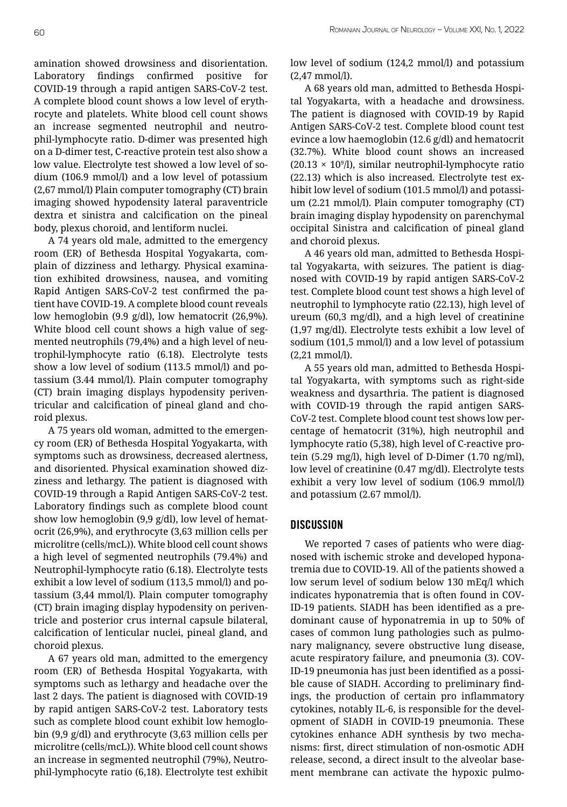amination showed drowsiness and disorientation. Laboratory findings confirmed positive for COVID-19 through a rapid antigen SARS-CoV-2 test. A complete blood count shows a low level of erythrocyte and platelets. White blood cell count shows an increase segmented neutrophil and neutrophil-lymphocyte ratio. D-dimer was presented high on a D-dimer test, C-reactive protein test also show a low value. Electrolyte test showed a low level of sodium (106.9 mmol/l) and a low level of potassium (2,67 mmol/l) Plain computer tomography (CT) brain imaging showed hypodensity lateral paraventricle dextra et sinistra and calcification on the pineal body, plexus choroid, and lentiform nuclei.

A 74 years old male, admitted to the emergency room (ER) of Bethesda Hospital Yogyakarta, complain of dizziness and lethargy. Physical examination exhibited drowsiness, nausea, and vomiting Rapid Antigen SARS-CoV-2 test confirmed the patient have COVID-19. A complete blood count reveals low hemoglobin (9.9 g/dl), low hematocrit (26,9%). White blood cell count shows a high value of segmented neutrophils (79,4%) and a high level of neutrophil-lymphocyte ratio (6.18). Electrolyte tests show a low level of sodium (113.5 mmol/l) and potassium (3.44 mmol/l). Plain computer tomography (CT) brain imaging displays hypodensity periventricular and calcification of pineal gland and choroid plexus.

A 75 years old woman, admitted to the emergency room (ER) of Bethesda Hospital Yogyakarta, with symptoms such as drowsiness, decreased alertness, and disoriented. Physical examination showed dizziness and lethargy. The patient is diagnosed with COVID-19 through a Rapid Antigen SARS-CoV-2 test. Laboratory findings such as complete blood count show low hemoglobin (9,9 g/dl), low level of hematocrit (26,9%), and erythrocyte (3,63 million cells per microlitre (cells/mcL)). White blood cell count shows a high level of segmented neutrophils (79.4%) and Neutrophil-lymphocyte ratio (6.18). Electrolyte tests exhibit a low level of sodium (113,5 mmol/l) and potassium (3,44 mmol/l). Plain computer tomography (CT) brain imaging display hypodensity on periventricle and posterior crus internal capsule bilateral, calcification of lenticular nuclei, pineal gland, and choroid plexus.

A 67 years old man, admitted to the emergency room (ER) of Bethesda Hospital Yogyakarta, with symptoms such as lethargy and headache over the last 2 days. The patient is diagnosed with COVID-19 by rapid antigen SARS-CoV-2 test. Laboratory tests such as complete blood count exhibit low hemoglobin (9,9 g/dl) and erythrocyte (3,63 million cells per microlitre (cells/mcL)). White blood cell count shows an increase in segmented neutrophil (79%), Neutrophil-lymphocyte ratio (6,18). Electrolyte test exhibit low level of sodium (124,2 mmol/l) and potassium (2,47 mmol/l).

A 68 years old man, admitted to Bethesda Hospital Yogyakarta, with a headache and drowsiness. The patient is diagnosed with COVID-19 by Rapid Antigen SARS-CoV-2 test. Complete blood count test evince a low haemoglobin (12.6 g/dl) and hematocrit (32.7%). White blood count shows an increased  $(20.13 \times 10<sup>9</sup>/I)$ , similar neutrophil-lymphocyte ratio (22.13) which is also increased. Electrolyte test exhibit low level of sodium (101.5 mmol/l) and potassium (2.21 mmol/l). Plain computer tomography (CT) brain imaging display hypodensity on parenchymal occipital Sinistra and calcification of pineal gland and choroid plexus.

A 46 years old man, admitted to Bethesda Hospital Yogyakarta, with seizures. The patient is diagnosed with COVID-19 by rapid antigen SARS-CoV-2 test. Complete blood count test shows a high level of neutrophil to lymphocyte ratio (22.13), high level of ureum (60,3 mg/dl), and a high level of creatinine (1,97 mg/dl). Electrolyte tests exhibit a low level of sodium (101,5 mmol/l) and a low level of potassium (2,21 mmol/l).

A 55 years old man, admitted to Bethesda Hospital Yogyakarta, with symptoms such as right-side weakness and dysarthria. The patient is diagnosed with COVID-19 through the rapid antigen SARS-CoV-2 test. Complete blood count test shows low percentage of hematocrit (31%), high neutrophil and lymphocyte ratio (5,38), high level of C-reactive protein (5.29 mg/l), high level of D-Dimer (1.70 ng/ml), low level of creatinine (0.47 mg/dl). Electrolyte tests exhibit a very low level of sodium (106.9 mmol/l) and potassium (2.67 mmol/l).

#### **DISCUSSION**

We reported 7 cases of patients who were diagnosed with ischemic stroke and developed hyponatremia due to COVID-19. All of the patients showed a low serum level of sodium below 130 mEq/l which indicates hyponatremia that is often found in COV-ID-19 patients. SIADH has been identified as a predominant cause of hyponatremia in up to 50% of cases of common lung pathologies such as pulmonary malignancy, severe obstructive lung disease, acute respiratory failure, and pneumonia (3). COV-ID-19 pneumonia has just been identified as a possible cause of SIADH. According to preliminary findings, the production of certain pro inflammatory cytokines, notably IL-6, is responsible for the development of SIADH in COVID-19 pneumonia. These cytokines enhance ADH synthesis by two mechanisms: first, direct stimulation of non-osmotic ADH release, second, a direct insult to the alveolar basement membrane can activate the hypoxic pulmo-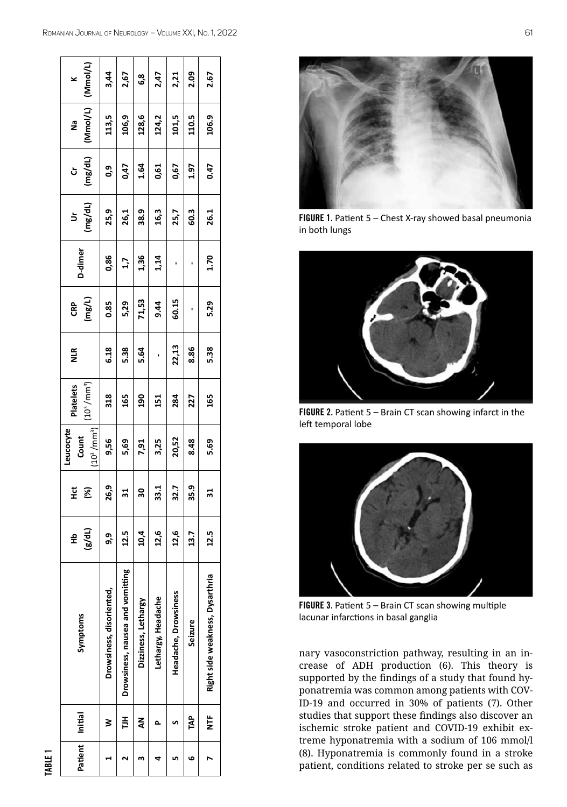| (Mmol/L)<br>×                                    | 3,44                     | 2,67                             | 6,8                 | 2,47               | 2,21                 | 2.09    | 2.67                            |
|--------------------------------------------------|--------------------------|----------------------------------|---------------------|--------------------|----------------------|---------|---------------------------------|
| Mmol/L)<br>ា<br>ខ                                | 113,5                    | 106,9                            | 128,6               | 124,2              | 101,5                | 110.5   | 106.9                           |
| (mg/dL)<br>່ວັ                                   | 0,9                      | 0,47                             | 1.64                | 0,61               | 0,67                 | 1.97    | 0.47                            |
| $rac{Ur}{(mg/dL)}$                               | 25,9                     | 26,1                             | 38.9                | 16,3               | 25,7                 | 60.3    | 26.1                            |
| D-dimer                                          | 0,86                     | 1,7                              | 1,36                | 1,14               |                      |         | 1.70                            |
| $CRP$<br>$(mg/L)$                                | 0.85                     | 5,29                             | 71,53               | 9.44               | 60.15                |         | 5.29                            |
| <b>NLR</b>                                       | 6.18                     | 5.38                             | 5.64                |                    | 22,13                | 8.86    | 5.38                            |
| (10 <sup>3</sup> /mm <sup>3</sup> )<br>Platelets | 318                      | 165                              | 190                 | 151                | 284                  | 227     | 165                             |
| $(10^3 / \text{mm}^3)$<br>Leucocyte<br>Count     | 9,56                     | 5,69                             | 7,91                | 3,25               | 20,52                | 8.48    | 5.69                            |
| $\ddot{\Xi}$<br>$\mathcal{E}$                    | 26,9                     | 31                               | 30                  | 33.1               | 32.7                 | 35.9    | 31                              |
| (dL)<br>웊                                        | ໑ຸ                       | 12.5                             | 10,4                | 12,6               | 12,6                 | 13.7    | 12.5                            |
| Symptoms                                         | Drowsiness, disoriented, | Drowsiness, nausea and vomitting | Dizziness, Lethargy | Lethargy, Headache | Headache, Drowsiness | Seizure | Right side weakness, Dysarthria |
| Patient Initial                                  | ≷                        | 들                                | ℥                   |                    |                      | TAP     | Ë                               |
|                                                  |                          |                                  |                     |                    |                      | م       |                                 |

tABLE 1



FIGURE 1. Patient 5 – Chest X-ray showed basal pneumonia in both lungs



FIGURE 2. Patient 5 – Brain CT scan showing infarct in the left temporal lobe



FIGURE 3. Patient 5 – Brain CT scan showing multiple lacunar infarctions in basal ganglia

nary vasoconstriction pathway, resulting in an in crease of ADH production (6). This theory is supported by the findings of a study that found hy ponatremia was common among patients with COV - ID-19 and occurred in 30% of patients (7). Other studies that support these findings also discover an ischemic stroke patient and COVID-19 exhibit ex treme hyponatremia with a sodium of 106 mmol/l (8). Hyponatremia is commonly found in a stroke patient, conditions related to stroke per se such as